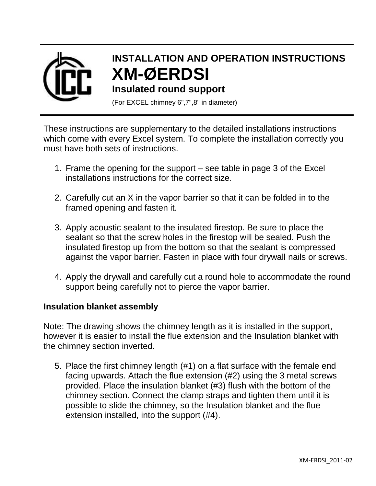

## **INSTALLATION AND OPERATION INSTRUCTIONS XM-ØERDSI**

## **Insulated round support**

(For EXCEL chimney 6",7",8" in diameter)

These instructions are supplementary to the detailed installations instructions which come with every Excel system. To complete the installation correctly you must have both sets of instructions.

- 1. Frame the opening for the support see table in page 3 of the Excel installations instructions for the correct size.
- 2. Carefully cut an X in the vapor barrier so that it can be folded in to the framed opening and fasten it.
- 3. Apply acoustic sealant to the insulated firestop. Be sure to place the sealant so that the screw holes in the firestop will be sealed. Push the insulated firestop up from the bottom so that the sealant is compressed against the vapor barrier. Fasten in place with four drywall nails or screws.
- 4. Apply the drywall and carefully cut a round hole to accommodate the round support being carefully not to pierce the vapor barrier.

## **Insulation blanket assembly**

Note: The drawing shows the chimney length as it is installed in the support, however it is easier to install the flue extension and the Insulation blanket with the chimney section inverted.

5. Place the first chimney length (#1) on a flat surface with the female end facing upwards. Attach the flue extension (#2) using the 3 metal screws provided. Place the insulation blanket (#3) flush with the bottom of the chimney section. Connect the clamp straps and tighten them until it is possible to slide the chimney, so the Insulation blanket and the flue extension installed, into the support (#4).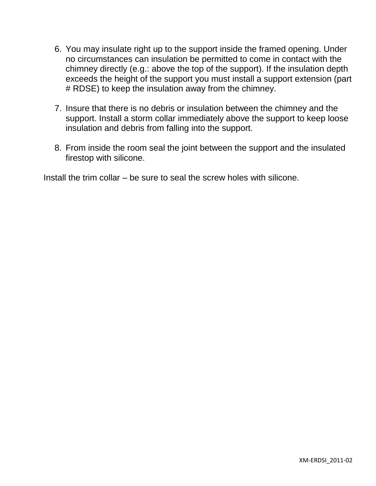- 6. You may insulate right up to the support inside the framed opening. Under no circumstances can insulation be permitted to come in contact with the chimney directly (e.g.: above the top of the support). If the insulation depth exceeds the height of the support you must install a support extension (part # RDSE) to keep the insulation away from the chimney.
- 7. Insure that there is no debris or insulation between the chimney and the support. Install a storm collar immediately above the support to keep loose insulation and debris from falling into the support.
- 8. From inside the room seal the joint between the support and the insulated firestop with silicone.

Install the trim collar – be sure to seal the screw holes with silicone.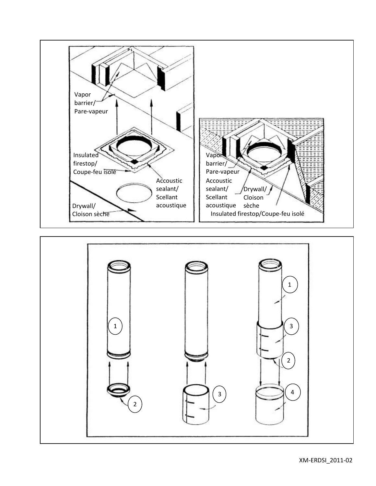